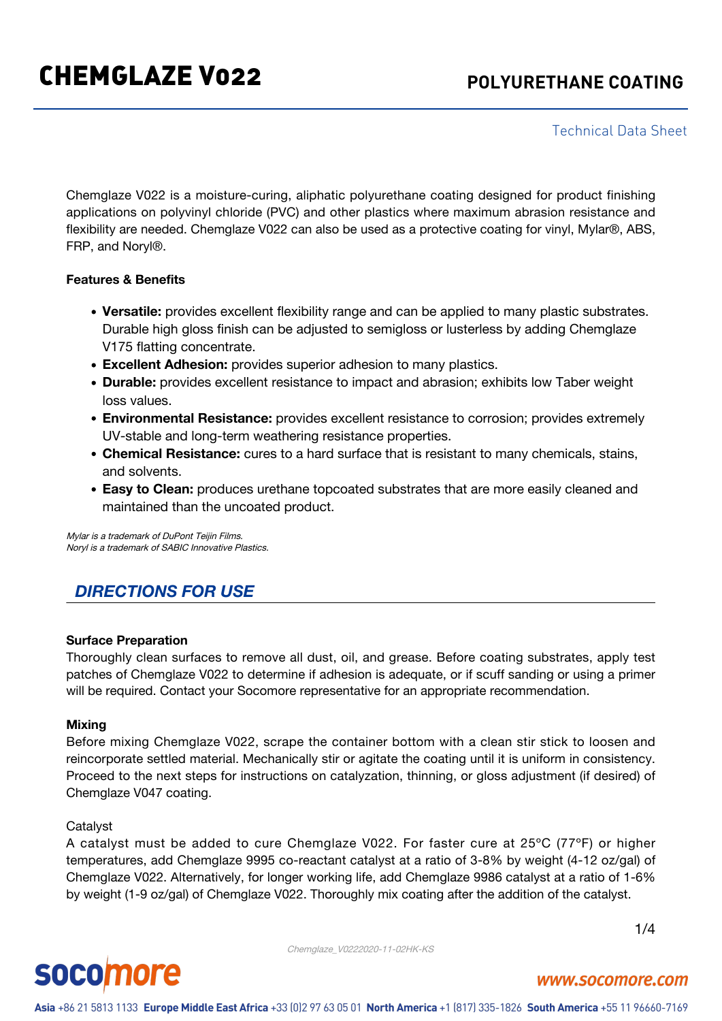Technical Data Sheet

Chemglaze V022 is a moisture-curing, aliphatic polyurethane coating designed for product finishing applications on polyvinyl chloride (PVC) and other plastics where maximum abrasion resistance and flexibility are needed. Chemglaze V022 can also be used as a protective coating for vinyl, Mylar®, ABS, FRP, and Noryl®.

#### **Features & Benefits**

- **Versatile:** provides excellent flexibility range and can be applied to many plastic substrates. Durable high gloss finish can be adjusted to semigloss or lusterless by adding Chemglaze V175 flatting concentrate.
- **Excellent Adhesion:** provides superior adhesion to many plastics.
- **Durable:** provides excellent resistance to impact and abrasion; exhibits low Taber weight loss values.
- **Environmental Resistance:** provides excellent resistance to corrosion; provides extremely UV-stable and long-term weathering resistance properties.
- **Chemical Resistance:** cures to a hard surface that is resistant to many chemicals, stains, and solvents.
- **Easy to Clean:** produces urethane topcoated substrates that are more easily cleaned and maintained than the uncoated product.

Mylar is a trademark of DuPont Teijin Films. Noryl is a trademark of SABIC Innovative Plastics.

# *DIRECTIONS FOR USE*

#### **Surface Preparation**

Thoroughly clean surfaces to remove all dust, oil, and grease. Before coating substrates, apply test patches of Chemglaze V022 to determine if adhesion is adequate, or if scuff sanding or using a primer will be required. Contact your Socomore representative for an appropriate recommendation.

#### **Mixing**

Before mixing Chemglaze V022, scrape the container bottom with a clean stir stick to loosen and reincorporate settled material. Mechanically stir or agitate the coating until it is uniform in consistency. Proceed to the next steps for instructions on catalyzation, thinning, or gloss adjustment (if desired) of Chemglaze V047 coating.

#### Catalyst

A catalyst must be added to cure Chemglaze V022. For faster cure at 25ºC (77ºF) or higher temperatures, add Chemglaze 9995 co-reactant catalyst at a ratio of 3-8% by weight (4-12 oz/gal) of Chemglaze V022. Alternatively, for longer working life, add Chemglaze 9986 catalyst at a ratio of 1-6% by weight (1-9 oz/gal) of Chemglaze V022. Thoroughly mix coating after the addition of the catalyst.

Chemglaze\_V0222020-11-02HK-KS

1/4



# www.socomore.com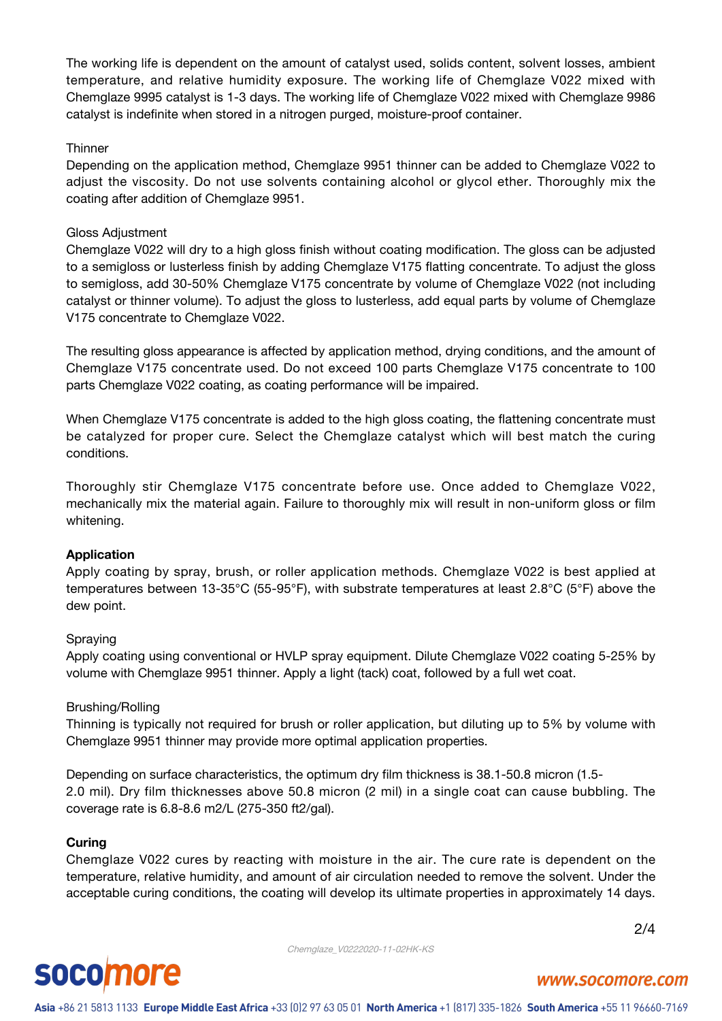The working life is dependent on the amount of catalyst used, solids content, solvent losses, ambient temperature, and relative humidity exposure. The working life of Chemglaze V022 mixed with Chemglaze 9995 catalyst is 1-3 days. The working life of Chemglaze V022 mixed with Chemglaze 9986 catalyst is indefinite when stored in a nitrogen purged, moisture-proof container.

#### **Thinner**

Depending on the application method, Chemglaze 9951 thinner can be added to Chemglaze V022 to adjust the viscosity. Do not use solvents containing alcohol or glycol ether. Thoroughly mix the coating after addition of Chemglaze 9951.

### Gloss Adjustment

Chemglaze V022 will dry to a high gloss finish without coating modification. The gloss can be adjusted to a semigloss or lusterless finish by adding Chemglaze V175 flatting concentrate. To adjust the gloss to semigloss, add 30-50% Chemglaze V175 concentrate by volume of Chemglaze V022 (not including catalyst or thinner volume). To adjust the gloss to lusterless, add equal parts by volume of Chemglaze V175 concentrate to Chemglaze V022.

The resulting gloss appearance is affected by application method, drying conditions, and the amount of Chemglaze V175 concentrate used. Do not exceed 100 parts Chemglaze V175 concentrate to 100 parts Chemglaze V022 coating, as coating performance will be impaired.

When Chemglaze V175 concentrate is added to the high gloss coating, the flattening concentrate must be catalyzed for proper cure. Select the Chemglaze catalyst which will best match the curing conditions.

Thoroughly stir Chemglaze V175 concentrate before use. Once added to Chemglaze V022, mechanically mix the material again. Failure to thoroughly mix will result in non-uniform gloss or film whitening.

#### **Application**

Apply coating by spray, brush, or roller application methods. Chemglaze V022 is best applied at temperatures between 13-35°C (55-95°F), with substrate temperatures at least 2.8°C (5°F) above the dew point.

#### Spraying

Apply coating using conventional or HVLP spray equipment. Dilute Chemglaze V022 coating 5-25% by volume with Chemglaze 9951 thinner. Apply a light (tack) coat, followed by a full wet coat.

#### Brushing/Rolling

Thinning is typically not required for brush or roller application, but diluting up to 5% by volume with Chemglaze 9951 thinner may provide more optimal application properties.

Depending on surface characteristics, the optimum dry film thickness is 38.1-50.8 micron (1.5- 2.0 mil). Dry film thicknesses above 50.8 micron (2 mil) in a single coat can cause bubbling. The coverage rate is 6.8-8.6 m2/L (275-350 ft2/gal).

#### **Curing**

Chemglaze V022 cures by reacting with moisture in the air. The cure rate is dependent on the temperature, relative humidity, and amount of air circulation needed to remove the solvent. Under the acceptable curing conditions, the coating will develop its ultimate properties in approximately 14 days.

Chemglaze\_V0222020-11-02HK-KS

2/4

# **socomore**

# www.socomore.com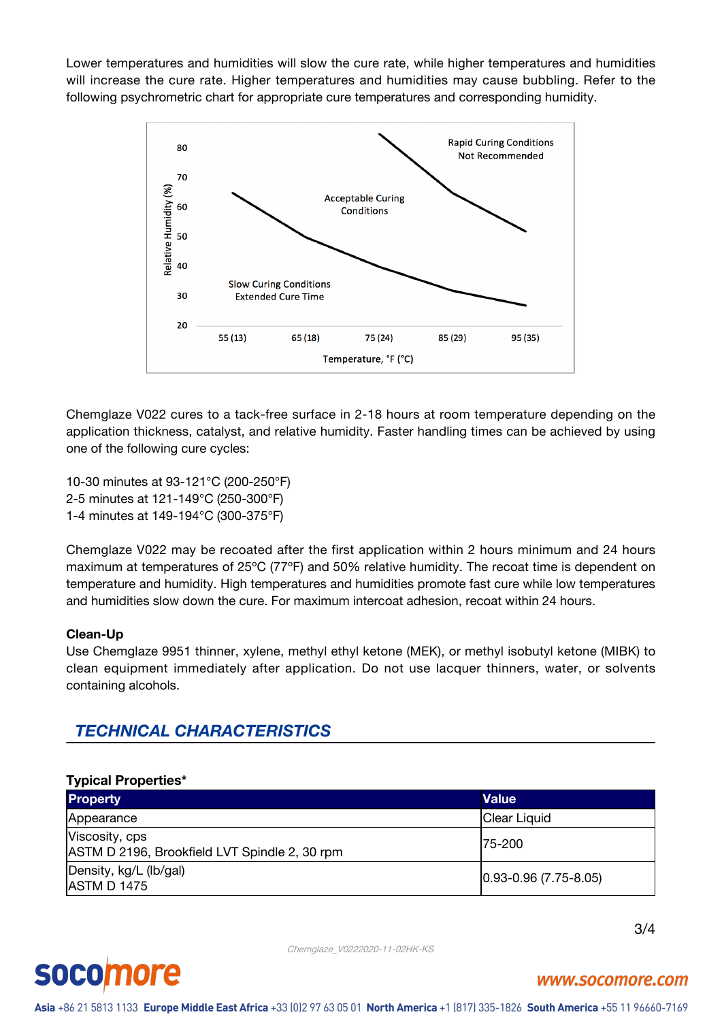Lower temperatures and humidities will slow the cure rate, while higher temperatures and humidities will increase the cure rate. Higher temperatures and humidities may cause bubbling. Refer to the following psychrometric chart for appropriate cure temperatures and corresponding humidity.



Chemglaze V022 cures to a tack-free surface in 2-18 hours at room temperature depending on the application thickness, catalyst, and relative humidity. Faster handling times can be achieved by using one of the following cure cycles:

10-30 minutes at 93-121°C (200-250°F) 2-5 minutes at 121-149°C (250-300°F) 1-4 minutes at 149-194°C (300-375°F)

Chemglaze V022 may be recoated after the first application within 2 hours minimum and 24 hours maximum at temperatures of 25ºC (77ºF) and 50% relative humidity. The recoat time is dependent on temperature and humidity. High temperatures and humidities promote fast cure while low temperatures and humidities slow down the cure. For maximum intercoat adhesion, recoat within 24 hours.

#### **Clean-Up**

Use Chemglaze 9951 thinner, xylene, methyl ethyl ketone (MEK), or methyl isobutyl ketone (MIBK) to clean equipment immediately after application. Do not use lacquer thinners, water, or solvents containing alcohols.

# *TECHNICAL CHARACTERISTICS*

#### **Typical Properties\***

| <b>Property</b>                                                 | <b>Value</b>                 |
|-----------------------------------------------------------------|------------------------------|
| Appearance                                                      | Clear Liquid                 |
| Viscosity, cps<br>ASTM D 2196, Brookfield LVT Spindle 2, 30 rpm | 175-200                      |
| Density, kg/L (lb/gal)<br><b>JASTM D 1475</b>                   | $ 0.93 - 0.96(7.75 - 8.05) $ |

3/4

Chemglaze\_V0222020-11-02HK-KS



www.socomore.com